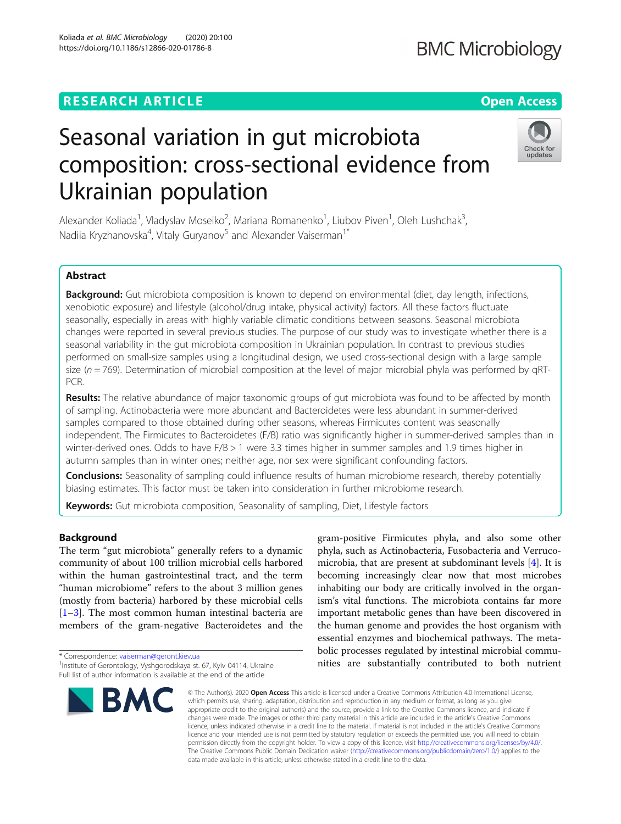# **RESEARCH ARTICLE Example 2014 12:30 The Contract of Contract ACCESS**

# Seasonal variation in gut microbiota composition: cross-sectional evidence from Ukrainian population

Alexander Koliada<sup>1</sup>, Vladyslav Moseiko<sup>2</sup>, Mariana Romanenko<sup>1</sup>, Liubov Piven<sup>1</sup>, Oleh Lushchak<sup>3</sup> , Nadiia Kryzhanovska<sup>4</sup>, Vitaly Guryanov<sup>5</sup> and Alexander Vaiserman<sup>1\*</sup>

# Abstract

Background: Gut microbiota composition is known to depend on environmental (diet, day length, infections, xenobiotic exposure) and lifestyle (alcohol/drug intake, physical activity) factors. All these factors fluctuate seasonally, especially in areas with highly variable climatic conditions between seasons. Seasonal microbiota changes were reported in several previous studies. The purpose of our study was to investigate whether there is a seasonal variability in the gut microbiota composition in Ukrainian population. In contrast to previous studies performed on small-size samples using a longitudinal design, we used cross-sectional design with a large sample size ( $n = 769$ ). Determination of microbial composition at the level of major microbial phyla was performed by qRT-PCR.

Results: The relative abundance of major taxonomic groups of gut microbiota was found to be affected by month of sampling. Actinobacteria were more abundant and Bacteroidetes were less abundant in summer-derived samples compared to those obtained during other seasons, whereas Firmicutes content was seasonally independent. The Firmicutes to Bacteroidetes (F/B) ratio was significantly higher in summer-derived samples than in winter-derived ones. Odds to have  $F/B > 1$  were 3.3 times higher in summer samples and 1.9 times higher in autumn samples than in winter ones; neither age, nor sex were significant confounding factors.

Conclusions: Seasonality of sampling could influence results of human microbiome research, thereby potentially biasing estimates. This factor must be taken into consideration in further microbiome research.

Keywords: Gut microbiota composition, Seasonality of sampling, Diet, Lifestyle factors

# Background

The term "gut microbiota" generally refers to a dynamic community of about 100 trillion microbial cells harbored within the human gastrointestinal tract, and the term "human microbiome" refers to the about 3 million genes (mostly from bacteria) harbored by these microbial cells [[1](#page-7-0)–[3\]](#page-7-0). The most common human intestinal bacteria are members of the gram-negative Bacteroidetes and the

> © The Author(s), 2020 **Open Access** This article is licensed under a Creative Commons Attribution 4.0 International License, which permits use, sharing, adaptation, distribution and reproduction in any medium or format, as long as you give appropriate credit to the original author(s) and the source, provide a link to the Creative Commons licence, and indicate if changes were made. The images or other third party material in this article are included in the article's Creative Commons licence, unless indicated otherwise in a credit line to the material. If material is not included in the article's Creative Commons licence and your intended use is not permitted by statutory regulation or exceeds the permitted use, you will need to obtain permission directly from the copyright holder. To view a copy of this licence, visit [http://creativecommons.org/licenses/by/4.0/.](http://creativecommons.org/licenses/by/4.0/) The Creative Commons Public Domain Dedication waiver [\(http://creativecommons.org/publicdomain/zero/1.0/](http://creativecommons.org/publicdomain/zero/1.0/)) applies to the data made available in this article, unless otherwise stated in a credit line to the data.

gram-positive Firmicutes phyla, and also some other phyla, such as Actinobacteria, Fusobacteria and Verrucomicrobia, that are present at subdominant levels [\[4](#page-7-0)]. It is becoming increasingly clear now that most microbes inhabiting our body are critically involved in the organism's vital functions. The microbiota contains far more important metabolic genes than have been discovered in the human genome and provides the host organism with essential enzymes and biochemical pathways. The metabolic processes regulated by intestinal microbial communities are substantially contributed to both nutrient

\* Correspondence: [vaiserman@geront.kiev.ua](mailto:vaiserman@geront.kiev.ua) <sup>1</sup> <sup>1</sup>Institute of Gerontology, Vyshgorodskaya st. 67, Kyiv 04114, Ukraine Full list of author information is available at the end of the article

**BMC** 





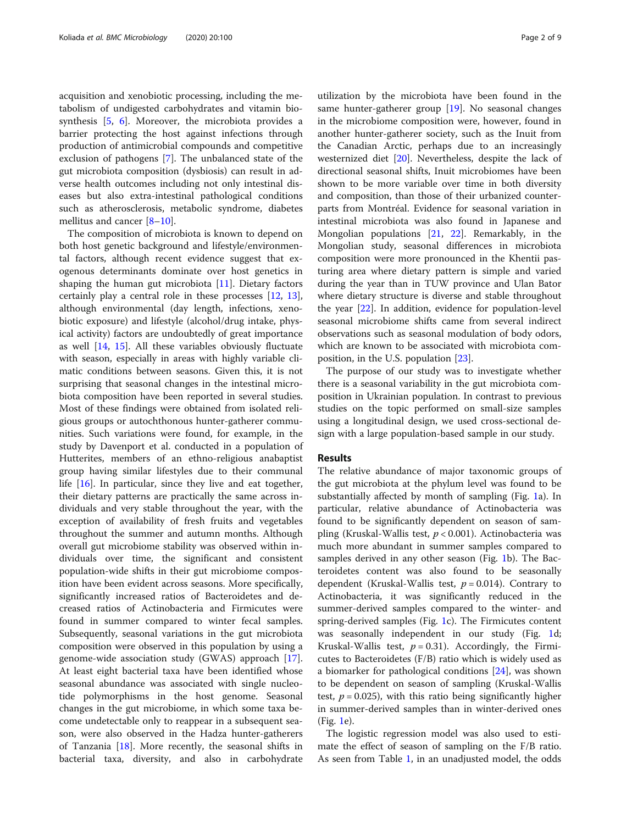acquisition and xenobiotic processing, including the metabolism of undigested carbohydrates and vitamin biosynthesis [[5,](#page-7-0) [6](#page-7-0)]. Moreover, the microbiota provides a barrier protecting the host against infections through production of antimicrobial compounds and competitive exclusion of pathogens [[7\]](#page-7-0). The unbalanced state of the gut microbiota composition (dysbiosis) can result in adverse health outcomes including not only intestinal diseases but also extra-intestinal pathological conditions such as atherosclerosis, metabolic syndrome, diabetes mellitus and cancer [[8](#page-7-0)–[10\]](#page-7-0).

The composition of microbiota is known to depend on both host genetic background and lifestyle/environmental factors, although recent evidence suggest that exogenous determinants dominate over host genetics in shaping the human gut microbiota [\[11](#page-7-0)]. Dietary factors certainly play a central role in these processes [\[12](#page-7-0), [13](#page-7-0)], although environmental (day length, infections, xenobiotic exposure) and lifestyle (alcohol/drug intake, physical activity) factors are undoubtedly of great importance as well [[14](#page-7-0), [15\]](#page-7-0). All these variables obviously fluctuate with season, especially in areas with highly variable climatic conditions between seasons. Given this, it is not surprising that seasonal changes in the intestinal microbiota composition have been reported in several studies. Most of these findings were obtained from isolated religious groups or autochthonous hunter-gatherer communities. Such variations were found, for example, in the study by Davenport et al. conducted in a population of Hutterites, members of an ethno-religious anabaptist group having similar lifestyles due to their communal life [\[16](#page-7-0)]. In particular, since they live and eat together, their dietary patterns are practically the same across individuals and very stable throughout the year, with the exception of availability of fresh fruits and vegetables throughout the summer and autumn months. Although overall gut microbiome stability was observed within individuals over time, the significant and consistent population-wide shifts in their gut microbiome composition have been evident across seasons. More specifically, significantly increased ratios of Bacteroidetes and decreased ratios of Actinobacteria and Firmicutes were found in summer compared to winter fecal samples. Subsequently, seasonal variations in the gut microbiota composition were observed in this population by using a genome-wide association study (GWAS) approach [\[17](#page-7-0)]. At least eight bacterial taxa have been identified whose seasonal abundance was associated with single nucleotide polymorphisms in the host genome. Seasonal changes in the gut microbiome, in which some taxa become undetectable only to reappear in a subsequent season, were also observed in the Hadza hunter-gatherers of Tanzania  $[18]$  $[18]$  $[18]$ . More recently, the seasonal shifts in bacterial taxa, diversity, and also in carbohydrate

utilization by the microbiota have been found in the same hunter-gatherer group [[19\]](#page-7-0). No seasonal changes in the microbiome composition were, however, found in another hunter-gatherer society, such as the Inuit from the Canadian Arctic, perhaps due to an increasingly westernized diet [[20](#page-7-0)]. Nevertheless, despite the lack of directional seasonal shifts, Inuit microbiomes have been shown to be more variable over time in both diversity and composition, than those of their urbanized counterparts from Montréal. Evidence for seasonal variation in intestinal microbiota was also found in Japanese and Mongolian populations [[21](#page-7-0), [22](#page-7-0)]. Remarkably, in the Mongolian study, seasonal differences in microbiota composition were more pronounced in the Khentii pasturing area where dietary pattern is simple and varied during the year than in TUW province and Ulan Bator where dietary structure is diverse and stable throughout the year [[22\]](#page-7-0). In addition, evidence for population-level seasonal microbiome shifts came from several indirect observations such as seasonal modulation of body odors, which are known to be associated with microbiota composition, in the U.S. population [\[23\]](#page-7-0).

The purpose of our study was to investigate whether there is a seasonal variability in the gut microbiota composition in Ukrainian population. In contrast to previous studies on the topic performed on small-size samples using a longitudinal design, we used cross-sectional design with a large population-based sample in our study.

#### **Results**

The relative abundance of major taxonomic groups of the gut microbiota at the phylum level was found to be substantially affected by month of sampling (Fig. [1a](#page-2-0)). In particular, relative abundance of Actinobacteria was found to be significantly dependent on season of sampling (Kruskal-Wallis test,  $p < 0.001$ ). Actinobacteria was much more abundant in summer samples compared to samples derived in any other season (Fig. [1](#page-2-0)b). The Bacteroidetes content was also found to be seasonally dependent (Kruskal-Wallis test,  $p = 0.014$ ). Contrary to Actinobacteria, it was significantly reduced in the summer-derived samples compared to the winter- and spring-derived samples (Fig. [1](#page-2-0)c). The Firmicutes content was seasonally independent in our study (Fig. [1](#page-2-0)d; Kruskal-Wallis test,  $p = 0.31$ ). Accordingly, the Firmicutes to Bacteroidetes (F/B) ratio which is widely used as a biomarker for pathological conditions [\[24\]](#page-7-0), was shown to be dependent on season of sampling (Kruskal-Wallis test,  $p = 0.025$ ), with this ratio being significantly higher in summer-derived samples than in winter-derived ones (Fig. [1](#page-2-0)e).

The logistic regression model was also used to estimate the effect of season of sampling on the F/B ratio. As seen from Table [1](#page-3-0), in an unadjusted model, the odds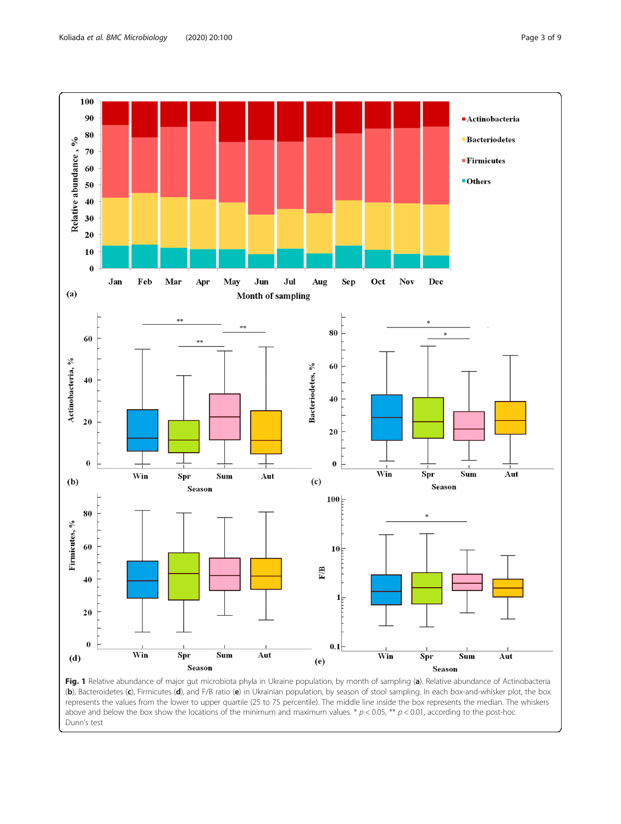<span id="page-2-0"></span>

(b), Bacteroidetes (c), Firmicutes (d), and F/B ratio (e) in Ukrainian population, by season of stool sampling. In each box-and-whisker plot, the box represents the values from the lower to upper quartile (25 to 75 percentile). The middle line inside the box represents the median. The whiskers above and below the box show the locations of the minimum and maximum values. \*  $p < 0.05$ , \*\*  $p < 0.01$ , according to the post-hoc Dunn's test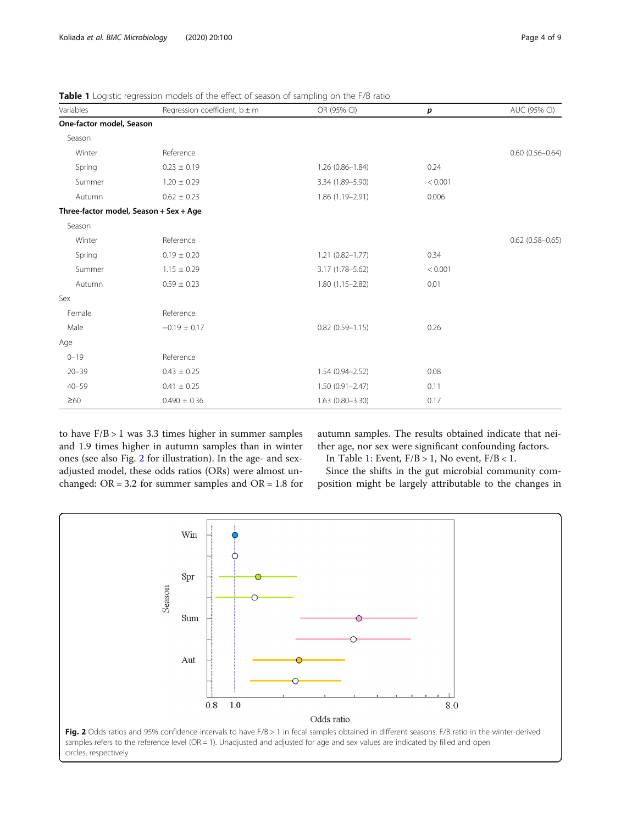| Variables                | Regression coefficient, $b \pm m$      | OR (95% CI)            | p       | AUC (95% CI)           |
|--------------------------|----------------------------------------|------------------------|---------|------------------------|
| One-factor model, Season |                                        |                        |         |                        |
| Season                   |                                        |                        |         |                        |
| Winter                   | Reference                              |                        |         | $0.60$ $(0.56 - 0.64)$ |
| Spring                   | $0.23 \pm 0.19$                        | $1.26(0.86 - 1.84)$    | 0.24    |                        |
| Summer                   | $1.20 \pm 0.29$                        | 3.34 (1.89-5.90)       | < 0.001 |                        |
| Autumn                   | $0.62 \pm 0.23$                        | 1.86 (1.19-2.91)       | 0.006   |                        |
|                          | Three-factor model, Season + Sex + Age |                        |         |                        |
| Season                   |                                        |                        |         |                        |
| Winter                   | Reference                              |                        |         | $0.62$ (0.58-0.65)     |
| Spring                   | $0.19 \pm 0.20$                        | $1.21(0.82 - 1.77)$    | 0.34    |                        |
| Summer                   | $1.15 \pm 0.29$                        | 3.17 (1.78-5.62)       | < 0.001 |                        |
| Autumn                   | $0.59 \pm 0.23$                        | $1.80(1.15 - 2.82)$    | 0.01    |                        |
| Sex                      |                                        |                        |         |                        |
| Female                   | Reference                              |                        |         |                        |
| Male                     | $-0.19 \pm 0.17$                       | $0.82$ $(0.59 - 1.15)$ | 0.26    |                        |
| Age                      |                                        |                        |         |                        |
| $0 - 19$                 | Reference                              |                        |         |                        |
| $20 - 39$                | $0.43 \pm 0.25$                        | $1.54(0.94 - 2.52)$    | 0.08    |                        |
| $40 - 59$                | $0.41 \pm 0.25$                        | $1.50(0.91 - 2.47)$    | 0.11    |                        |
| $\geq 60$                | $0.490 \pm 0.36$                       | $1.63(0.80 - 3.30)$    | 0.17    |                        |

<span id="page-3-0"></span>Table 1 Logistic regression models of the effect of season of sampling on the F/B ratio

to have  $F/B > 1$  was 3.3 times higher in summer samples and 1.9 times higher in autumn samples than in winter ones (see also Fig. 2 for illustration). In the age- and sexadjusted model, these odds ratios (ORs) were almost unchanged:  $OR = 3.2$  for summer samples and  $OR = 1.8$  for autumn samples. The results obtained indicate that neither age, nor sex were significant confounding factors.

In Table 1: Event,  $F/B > 1$ , No event,  $F/B < 1$ .

Since the shifts in the gut microbial community composition might be largely attributable to the changes in

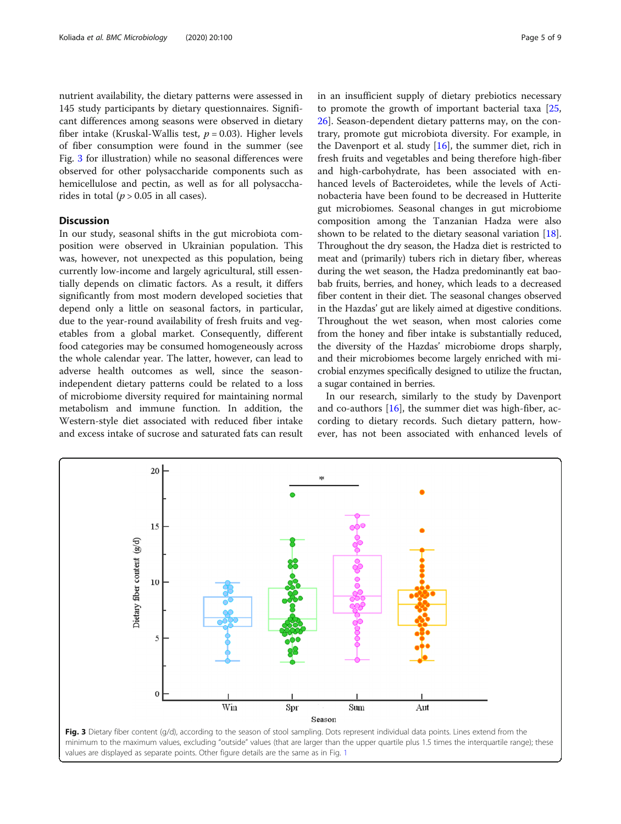nutrient availability, the dietary patterns were assessed in 145 study participants by dietary questionnaires. Significant differences among seasons were observed in dietary fiber intake (Kruskal-Wallis test,  $p = 0.03$ ). Higher levels of fiber consumption were found in the summer (see Fig. 3 for illustration) while no seasonal differences were observed for other polysaccharide components such as hemicellulose and pectin, as well as for all polysaccharides in total ( $p > 0.05$  in all cases).

# **Discussion**

In our study, seasonal shifts in the gut microbiota composition were observed in Ukrainian population. This was, however, not unexpected as this population, being currently low-income and largely agricultural, still essentially depends on climatic factors. As a result, it differs significantly from most modern developed societies that depend only a little on seasonal factors, in particular, due to the year-round availability of fresh fruits and vegetables from a global market. Consequently, different food categories may be consumed homogeneously across the whole calendar year. The latter, however, can lead to adverse health outcomes as well, since the seasonindependent dietary patterns could be related to a loss of microbiome diversity required for maintaining normal metabolism and immune function. In addition, the Western-style diet associated with reduced fiber intake and excess intake of sucrose and saturated fats can result in an insufficient supply of dietary prebiotics necessary to promote the growth of important bacterial taxa [[25](#page-7-0), [26\]](#page-7-0). Season-dependent dietary patterns may, on the contrary, promote gut microbiota diversity. For example, in the Davenport et al. study  $[16]$  $[16]$ , the summer diet, rich in fresh fruits and vegetables and being therefore high-fiber and high-carbohydrate, has been associated with enhanced levels of Bacteroidetes, while the levels of Actinobacteria have been found to be decreased in Hutterite gut microbiomes. Seasonal changes in gut microbiome composition among the Tanzanian Hadza were also shown to be related to the dietary seasonal variation [[18](#page-7-0)]. Throughout the dry season, the Hadza diet is restricted to meat and (primarily) tubers rich in dietary fiber, whereas during the wet season, the Hadza predominantly eat baobab fruits, berries, and honey, which leads to a decreased fiber content in their diet. The seasonal changes observed in the Hazdas' gut are likely aimed at digestive conditions. Throughout the wet season, when most calories come from the honey and fiber intake is substantially reduced, the diversity of the Hazdas' microbiome drops sharply, and their microbiomes become largely enriched with microbial enzymes specifically designed to utilize the fructan, a sugar contained in berries.

In our research, similarly to the study by Davenport and co-authors [\[16\]](#page-7-0), the summer diet was high-fiber, according to dietary records. Such dietary pattern, however, has not been associated with enhanced levels of



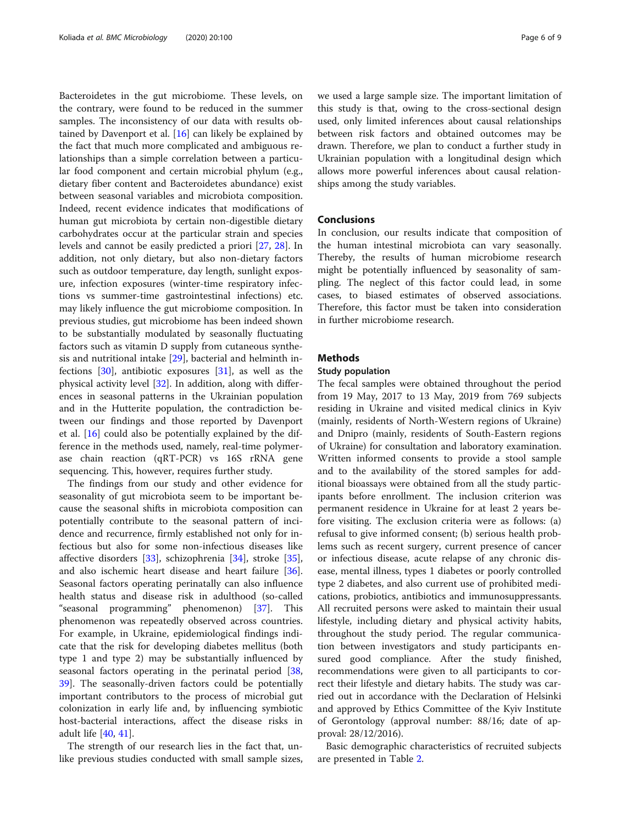Bacteroidetes in the gut microbiome. These levels, on the contrary, were found to be reduced in the summer samples. The inconsistency of our data with results obtained by Davenport et al.  $[16]$  can likely be explained by the fact that much more complicated and ambiguous relationships than a simple correlation between a particular food component and certain microbial phylum (e.g., dietary fiber content and Bacteroidetes abundance) exist between seasonal variables and microbiota composition. Indeed, recent evidence indicates that modifications of human gut microbiota by certain non-digestible dietary carbohydrates occur at the particular strain and species levels and cannot be easily predicted a priori [\[27](#page-7-0), [28](#page-7-0)]. In addition, not only dietary, but also non-dietary factors such as outdoor temperature, day length, sunlight exposure, infection exposures (winter-time respiratory infections vs summer-time gastrointestinal infections) etc. may likely influence the gut microbiome composition. In previous studies, gut microbiome has been indeed shown to be substantially modulated by seasonally fluctuating factors such as vitamin D supply from cutaneous synthesis and nutritional intake [\[29](#page-7-0)], bacterial and helminth infections [[30\]](#page-7-0), antibiotic exposures [\[31](#page-7-0)], as well as the physical activity level [[32](#page-7-0)]. In addition, along with differences in seasonal patterns in the Ukrainian population and in the Hutterite population, the contradiction between our findings and those reported by Davenport et al. [\[16](#page-7-0)] could also be potentially explained by the difference in the methods used, namely, real-time polymerase chain reaction (qRT-PCR) vs 16S rRNA gene sequencing. This, however, requires further study.

The findings from our study and other evidence for seasonality of gut microbiota seem to be important because the seasonal shifts in microbiota composition can potentially contribute to the seasonal pattern of incidence and recurrence, firmly established not only for infectious but also for some non-infectious diseases like affective disorders [[33](#page-7-0)], schizophrenia [\[34](#page-7-0)], stroke [\[35](#page-7-0)], and also ischemic heart disease and heart failure [\[36](#page-7-0)]. Seasonal factors operating perinatally can also influence health status and disease risk in adulthood (so-called "seasonal programming" phenomenon) [\[37](#page-7-0)]. This phenomenon was repeatedly observed across countries. For example, in Ukraine, epidemiological findings indicate that the risk for developing diabetes mellitus (both type 1 and type 2) may be substantially influenced by seasonal factors operating in the perinatal period [[38](#page-7-0), [39\]](#page-7-0). The seasonally-driven factors could be potentially important contributors to the process of microbial gut colonization in early life and, by influencing symbiotic host-bacterial interactions, affect the disease risks in adult life [[40,](#page-8-0) [41](#page-8-0)].

The strength of our research lies in the fact that, unlike previous studies conducted with small sample sizes, we used a large sample size. The important limitation of this study is that, owing to the cross-sectional design used, only limited inferences about causal relationships between risk factors and obtained outcomes may be drawn. Therefore, we plan to conduct a further study in Ukrainian population with a longitudinal design which allows more powerful inferences about causal relationships among the study variables.

### Conclusions

In conclusion, our results indicate that composition of the human intestinal microbiota can vary seasonally. Thereby, the results of human microbiome research might be potentially influenced by seasonality of sampling. The neglect of this factor could lead, in some cases, to biased estimates of observed associations. Therefore, this factor must be taken into consideration in further microbiome research.

# Methods

#### Study population

The fecal samples were obtained throughout the period from 19 May, 2017 to 13 May, 2019 from 769 subjects residing in Ukraine and visited medical clinics in Kyiv (mainly, residents of North-Western regions of Ukraine) and Dnipro (mainly, residents of South-Eastern regions of Ukraine) for consultation and laboratory examination. Written informed consents to provide a stool sample and to the availability of the stored samples for additional bioassays were obtained from all the study participants before enrollment. The inclusion criterion was permanent residence in Ukraine for at least 2 years before visiting. The exclusion criteria were as follows: (a) refusal to give informed consent; (b) serious health problems such as recent surgery, current presence of cancer or infectious disease, acute relapse of any chronic disease, mental illness, types 1 diabetes or poorly controlled type 2 diabetes, and also current use of prohibited medications, probiotics, antibiotics and immunosuppressants. All recruited persons were asked to maintain their usual lifestyle, including dietary and physical activity habits, throughout the study period. The regular communication between investigators and study participants ensured good compliance. After the study finished, recommendations were given to all participants to correct their lifestyle and dietary habits. The study was carried out in accordance with the Declaration of Helsinki and approved by Ethics Committee of the Kyiv Institute of Gerontology (approval number: 88/16; date of approval: 28/12/2016).

Basic demographic characteristics of recruited subjects are presented in Table [2.](#page-6-0)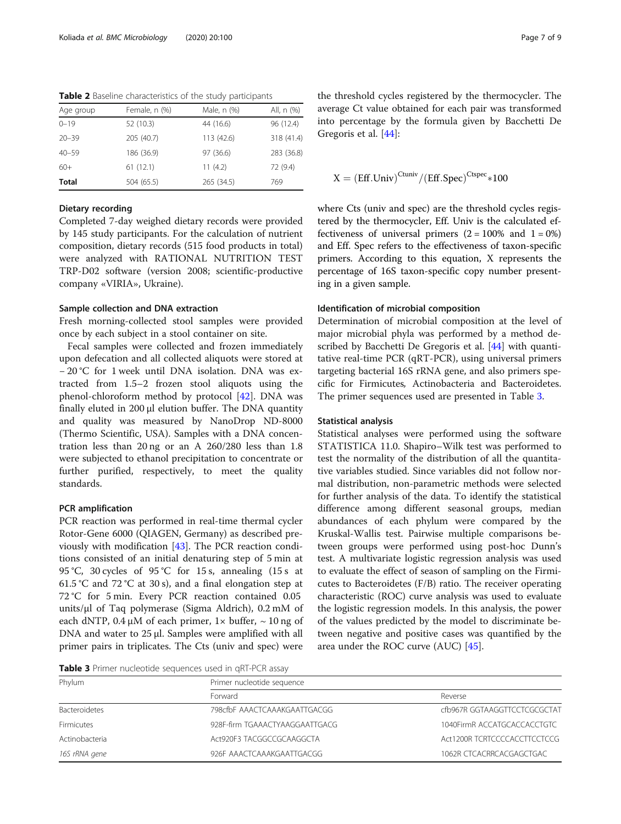| Age group    | Female, n (%) | Male, n (%) | All, n (%) |
|--------------|---------------|-------------|------------|
| $0 - 19$     | 52 (10.3)     | 44 (16.6)   | 96 (12.4)  |
| $20 - 39$    | 205 (40.7)    | 113 (42.6)  | 318 (41.4) |
| $40 - 59$    | 186 (36.9)    | 97 (36.6)   | 283 (36.8) |
| $60+$        | 61(12.1)      | 11(4.2)     | 72 (9.4)   |
| <b>Total</b> | 504 (65.5)    | 265 (34.5)  | 769        |

<span id="page-6-0"></span>Table 2 Baseline characteristics of the study participants

## Dietary recording

Completed 7-day weighed dietary records were provided by 145 study participants. For the calculation of nutrient composition, dietary records (515 food products in total) were analyzed with RATIONAL NUTRITION TEST TRP-D02 software (version 2008; scientific-productive company «VIRIA», Ukraine).

#### Sample collection and DNA extraction

Fresh morning-collected stool samples were provided once by each subject in a stool container on site.

Fecal samples were collected and frozen immediately upon defecation and all collected aliquots were stored at − 20 °C for 1 week until DNA isolation. DNA was extracted from 1.5–2 frozen stool aliquots using the phenol-chloroform method by protocol [\[42\]](#page-8-0). DNA was finally eluted in 200 μl elution buffer. The DNA quantity and quality was measured by NanoDrop ND-8000 (Thermo Scientific, USA). Samples with a DNA concentration less than 20 ng or an A 260/280 less than 1.8 were subjected to ethanol precipitation to concentrate or further purified, respectively, to meet the quality standards.

#### PCR amplification

PCR reaction was performed in real-time thermal cycler Rotor-Gene 6000 (QIAGEN, Germany) as described previously with modification [[43\]](#page-8-0). The PCR reaction conditions consisted of an initial denaturing step of 5 min at 95 °C, 30 cycles of 95 °C for 15 s, annealing  $(15 s$  at 61.5 °C and 72 °C at 30 s), and a final elongation step at 72 °C for 5 min. Every PCR reaction contained 0.05 units/μl of Taq polymerase (Sigma Aldrich), 0.2 mM of each dNTP,  $0.4 \mu M$  of each primer,  $1 \times$  buffer,  $\sim 10$  ng of DNA and water to 25 μl. Samples were amplified with all primer pairs in triplicates. The Cts (univ and spec) were

the threshold cycles registered by the thermocycler. The average Ct value obtained for each pair was transformed into percentage by the formula given by Bacchetti De Gregoris et al. [[44](#page-8-0)]:

$$
X = (Eff. Univ)^{C\text{tuniv}} / (Eff. Spec)^{C\text{tspec}} * 100
$$

where Cts (univ and spec) are the threshold cycles registered by the thermocycler, Eff. Univ is the calculated effectiveness of universal primers  $(2 = 100\%$  and  $1 = 0\%)$ and Eff. Spec refers to the effectiveness of taxon-specific primers. According to this equation, X represents the percentage of 16S taxon-specific copy number presenting in a given sample.

#### Identification of microbial composition

Determination of microbial composition at the level of major microbial phyla was performed by a method described by Bacchetti De Gregoris et al. [\[44](#page-8-0)] with quantitative real-time PCR (qRT-PCR), using universal primers targeting bacterial 16S rRNA gene, and also primers specific for Firmicutes, Actinobacteria and Bacteroidetes. The primer sequences used are presented in Table 3.

#### Statistical analysis

Statistical analyses were performed using the software STATISTICA 11.0. Shapiro–Wilk test was performed to test the normality of the distribution of all the quantitative variables studied. Since variables did not follow normal distribution, non-parametric methods were selected for further analysis of the data. To identify the statistical difference among different seasonal groups, median abundances of each phylum were compared by the Kruskal-Wallis test. Pairwise multiple comparisons between groups were performed using post-hoc Dunn's test. A multivariate logistic regression analysis was used to evaluate the effect of season of sampling on the Firmicutes to Bacteroidetes (F/B) ratio. The receiver operating characteristic (ROC) curve analysis was used to evaluate the logistic regression models. In this analysis, the power of the values predicted by the model to discriminate between negative and positive cases was quantified by the area under the ROC curve (AUC) [\[45\]](#page-8-0).

Table 3 Primer nucleotide sequences used in qRT-PCR assay

| Phylum               | Primer nucleotide sequence     |                              |  |  |
|----------------------|--------------------------------|------------------------------|--|--|
|                      | Forward                        | Reverse                      |  |  |
| <b>Bacteroidetes</b> | 798cfbF AAACTCAAAKGAATTGACGG   | cfb967R GGTAAGGTTCCTCGCGCTAT |  |  |
| Firmicutes           | 928F-firm TGAAACTYAAGGAATTGACG | 1040FirmR ACCATGCACCACCTGTC  |  |  |
| Actinobacteria       | Act920E3 TACGGCCGCAAGGCTA      | Act1200R TCRTCCCCACCTTCCTCCG |  |  |
| 16S rRNA gene        | 926F AAACTCAAAKGAATTGACGG      | 1062R CTCACRRCACGAGCTGAC     |  |  |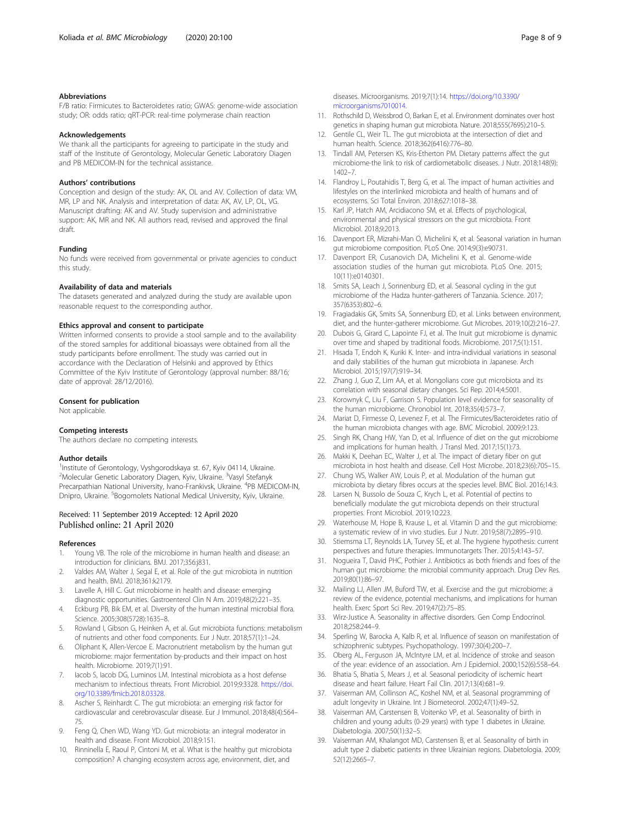#### <span id="page-7-0"></span>Abbreviations

F/B ratio: Firmicutes to Bacteroidetes ratio; GWAS: genome-wide association study; OR: odds ratio; qRT-PCR: real-time polymerase chain reaction

#### Acknowledgements

We thank all the participants for agreeing to participate in the study and staff of the Institute of Gerontology, Molecular Genetic Laboratory Diagen and PB MEDICOM-IN for the technical assistance.

#### Authors' contributions

Conception and design of the study: AK, OL and AV. Collection of data: VM, MR, LP and NK. Analysis and interpretation of data: AK, AV, LP, OL, VG. Manuscript drafting: AK and AV. Study supervision and administrative support: AK, MR and NK. All authors read, revised and approved the final draft.

#### Funding

No funds were received from governmental or private agencies to conduct this study.

#### Availability of data and materials

The datasets generated and analyzed during the study are available upon reasonable request to the corresponding author.

#### Ethics approval and consent to participate

Written informed consents to provide a stool sample and to the availability of the stored samples for additional bioassays were obtained from all the study participants before enrollment. The study was carried out in accordance with the Declaration of Helsinki and approved by Ethics Committee of the Kyiv Institute of Gerontology (approval number: 88/16; date of approval: 28/12/2016).

#### Consent for publication

Not applicable.

#### Competing interests

The authors declare no competing interests.

#### Author details

<sup>1</sup>Institute of Gerontology, Vyshgorodskaya st. 67, Kyiv 04114, Ukraine. <sup>2</sup>Molecular Genetic Laboratory Diagen, Kyiv, Ukraine. <sup>3</sup>Vasyl Stefanyk Precarpathian National University, Ivano-Frankivsk, Ukraine. <sup>4</sup>PB MEDICOM-IN, Dnipro, Ukraine. <sup>5</sup>Bogomolets National Medical University, Kyiv, Ukraine.

#### Received: 11 September 2019 Accepted: 12 April 2020 Published online: 21 April 2020

#### References

- 1. Young VB. The role of the microbiome in human health and disease: an introduction for clinicians. BMJ. 2017;356:j831.
- 2. Valdes AM, Walter J, Segal E, et al. Role of the gut microbiota in nutrition and health. BMJ. 2018;361:k2179.
- 3. Lavelle A, Hill C. Gut microbiome in health and disease: emerging diagnostic opportunities. Gastroenterol Clin N Am. 2019;48(2):221–35.
- 4. Eckburg PB, Bik EM, et al. Diversity of the human intestinal microbial flora. Science. 2005;308(5728):1635–8.
- 5. Rowland I, Gibson G, Heinken A, et al. Gut microbiota functions: metabolism of nutrients and other food components. Eur J Nutr. 2018;57(1):1–24.
- 6. Oliphant K, Allen-Vercoe E. Macronutrient metabolism by the human gut microbiome: major fermentation by-products and their impact on host health. Microbiome. 2019;7(1):91.
- Iacob S, Iacob DG, Luminos LM. Intestinal microbiota as a host defense mechanism to infectious threats. Front Microbiol. 2019;9:3328. [https://doi.](https://doi.org/10.3389/fmicb.2018.03328) [org/10.3389/fmicb.2018.03328](https://doi.org/10.3389/fmicb.2018.03328).
- 8. Ascher S, Reinhardt C. The gut microbiota: an emerging risk factor for cardiovascular and cerebrovascular disease. Eur J Immunol. 2018;48(4):564– 75.
- 9. Feng Q, Chen WD, Wang YD. Gut microbiota: an integral moderator in health and disease. Front Microbiol. 2018;9:151.
- 10. Rinninella E, Raoul P, Cintoni M, et al. What is the healthy gut microbiota composition? A changing ecosystem across age, environment, diet, and

diseases. Microorganisms. 2019;7(1):14. [https://doi.org/10.3390/](https://doi.org/10.3390/microorganisms7010014) [microorganisms7010014](https://doi.org/10.3390/microorganisms7010014).

- 11. Rothschild D, Weissbrod O, Barkan E, et al. Environment dominates over host genetics in shaping human gut microbiota. Nature. 2018;555(7695):210–5.
- 12. Gentile CL, Weir TL. The gut microbiota at the intersection of diet and human health. Science. 2018;362(6416):776–80.
- 13. Tindall AM, Petersen KS, Kris-Etherton PM. Dietary patterns affect the gut microbiome-the link to risk of cardiometabolic diseases. J Nutr. 2018;148(9): 1402–7.
- 14. Flandroy L, Poutahidis T, Berg G, et al. The impact of human activities and lifestyles on the interlinked microbiota and health of humans and of ecosystems. Sci Total Environ. 2018;627:1018–38.
- 15. Karl JP, Hatch AM, Arcidiacono SM, et al. Effects of psychological, environmental and physical stressors on the gut microbiota. Front Microbiol. 2018;9:2013.
- 16. Davenport ER, Mizrahi-Man O, Michelini K, et al. Seasonal variation in human gut microbiome composition. PLoS One. 2014;9(3):e90731.
- 17. Davenport ER, Cusanovich DA, Michelini K, et al. Genome-wide association studies of the human gut microbiota. PLoS One. 2015; 10(11):e0140301.
- 18. Smits SA, Leach J, Sonnenburg ED, et al. Seasonal cycling in the gut microbiome of the Hadza hunter-gatherers of Tanzania. Science. 2017; 357(6353):802–6.
- 19. Fragiadakis GK, Smits SA, Sonnenburg ED, et al. Links between environment, diet, and the hunter-gatherer microbiome. Gut Microbes. 2019;10(2):216–27.
- 20. Dubois G, Girard C, Lapointe FJ, et al. The Inuit gut microbiome is dynamic over time and shaped by traditional foods. Microbiome. 2017;5(1):151.
- 21. Hisada T, Endoh K, Kuriki K. Inter- and intra-individual variations in seasonal and daily stabilities of the human gut microbiota in Japanese. Arch Microbiol. 2015;197(7):919–34.
- 22. Zhang J, Guo Z, Lim AA, et al. Mongolians core gut microbiota and its correlation with seasonal dietary changes. Sci Rep. 2014;4:5001.
- 23. Korownyk C, Liu F, Garrison S. Population level evidence for seasonality of the human microbiome. Chronobiol Int. 2018;35(4):573–7.
- 24. Mariat D, Firmesse O, Levenez F, et al. The Firmicutes/Bacteroidetes ratio of the human microbiota changes with age. BMC Microbiol. 2009;9:123.
- 25. Singh RK, Chang HW, Yan D, et al. Influence of diet on the gut microbiome and implications for human health. J Transl Med. 2017;15(1):73.
- 26. Makki K, Deehan EC, Walter J, et al. The impact of dietary fiber on gut microbiota in host health and disease. Cell Host Microbe. 2018;23(6):705–15.
- 27. Chung WS, Walker AW, Louis P, et al. Modulation of the human gut microbiota by dietary fibres occurs at the species level. BMC Biol. 2016;14:3.
- 28. Larsen N, Bussolo de Souza C, Krych L, et al. Potential of pectins to beneficially modulate the gut microbiota depends on their structural properties. Front Microbiol. 2019;10:223.
- 29. Waterhouse M, Hope B, Krause L, et al. Vitamin D and the gut microbiome: a systematic review of in vivo studies. Eur J Nutr. 2019;58(7):2895–910.
- 30. Stiemsma LT, Reynolds LA, Turvey SE, et al. The hygiene hypothesis: current perspectives and future therapies. Immunotargets Ther. 2015;4:143–57.
- 31. Nogueira T, David PHC, Pothier J. Antibiotics as both friends and foes of the human gut microbiome: the microbial community approach. Drug Dev Res. 2019;80(1):86–97.
- 32. Mailing LJ, Allen JM, Buford TW, et al. Exercise and the gut microbiome: a review of the evidence, potential mechanisms, and implications for human health. Exerc Sport Sci Rev. 2019;47(2):75–85.
- 33. Wirz-Justice A. Seasonality in affective disorders. Gen Comp Endocrinol. 2018;258:244–9.
- 34. Sperling W, Barocka A, Kalb R, et al. Influence of season on manifestation of schizophrenic subtypes. Psychopathology. 1997;30(4):200–7.
- 35. Oberg AL, Ferguson JA, McIntyre LM, et al. Incidence of stroke and season of the year: evidence of an association. Am J Epidemiol. 2000;152(6):558–64.
- 36. Bhatia S, Bhatia S, Mears J, et al. Seasonal periodicity of ischemic heart disease and heart failure. Heart Fail Clin. 2017;13(4):681–9.
- 37. Vaiserman AM, Collinson AC, Koshel NM, et al. Seasonal programming of adult longevity in Ukraine. Int J Biometeorol. 2002;47(1):49–52.
- 38. Vaiserman AM, Carstensen B, Voitenko VP, et al. Seasonality of birth in children and young adults (0-29 years) with type 1 diabetes in Ukraine. Diabetologia. 2007;50(1):32–5.
- 39. Vaiserman AM, Khalangot MD, Carstensen B, et al. Seasonality of birth in adult type 2 diabetic patients in three Ukrainian regions. Diabetologia. 2009; 52(12):2665–7.